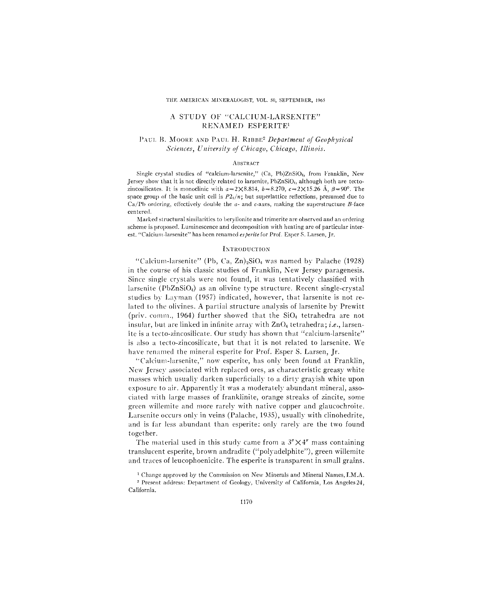### A STUDY OF "CALCIUM-LARSENITE" RENAMED ESPERITE1

# PAUL B. MOORE AND PAUL H. RIBBE<sup>2</sup> *Department of Geophysical*  $Sciences, University of Chicago, Chicago, Illinois.$

#### **ABSTRACT**

Single cryslal studies of "calcium.larsenile," (Ca, Pb)ZnSi04, from Franklin, New Jersey show that it is not directly related to larsenite, PbZnSi04, although both are tectozincosilicates. It is monoclinic with  $a=2\times8.814$ ,  $b=8.270$ ,  $c=2\times15.26$  Å,  $\beta=90^\circ$ . The space group of the basic unit cell is  $P_1/n$ ; but superlattice reflections, presumed due to Ca/Pb ordering, effectively double the *a*- and *c*-axes, making the superstructure *B*-face cen tered.

Marked structural similarities to beryllonite and trimerite are observed and an ordering scheme is proposed. Luminescence and decomposition with heating are of particular interest. "Calcium-larsenite" has been renamed es perite for Prof. Esper S. Larsen, Jr.

### INTRODUCTION

"Calcium-larsenite" (Pb, Ca,  $Zn$ )<sub>2</sub>SiO<sub>4</sub> was named by Palache (1928) in the course of his classic studies of Franklin, New Jersey paragenesis. Since single crystals were not found, it was tentatively classified with larsenite (PbZnSi04) as an olivine type structure. Recent single-crystal studies by Layman (1957) indicated, however, that larsenite is not related to the olivines. A partial structure analysis of larsenite by Prewitt (priv. comm., 1964) further showed that the  $SiO<sub>4</sub>$  tetrahedra are not insular, but are linked in infinite array with Zn04 tetrahedra; *i.e.,* larsenite is a tecto-zincosilicate. Our study has shown that "calcium-Iarsenite" is also a tecto-zincosilicate, but that it is not related to larsenite. \Ve have renamed the mineral esperite for Prof. Esper S. Larsen, Jr.

"Calcium-larsenite," now esperite, has only been found at Franklin, New Jersey associated with replaced ores, as characteristic greasy white masses which usually darken superficially to a dirty gravish white upon exposure to air. Apparently it was a moderately abundant mineral, associated with Iarge masses of franklinite, orange streaks of zincite, some green willemite and more rarely with native copper and glaucochroite. Larsenite occurs only in veins (Palache, 1935), usually with clinohedrite, and is far less abundant than esperite: only rarely are the two found together.

The material used in this study came from a  $3''\times4''$  mass containing translucent esperite, brown andradite ("polyadelphite"), green willemite and traces of leucophoenicite. The esperite is transparent in small grains.

2 Present address: Department of Geology, University of California, Los Angeles 24, California.

<sup>&</sup>lt;sup>1</sup> Change approved by the Commission on New Minerals and Mineral Names, I.M.A.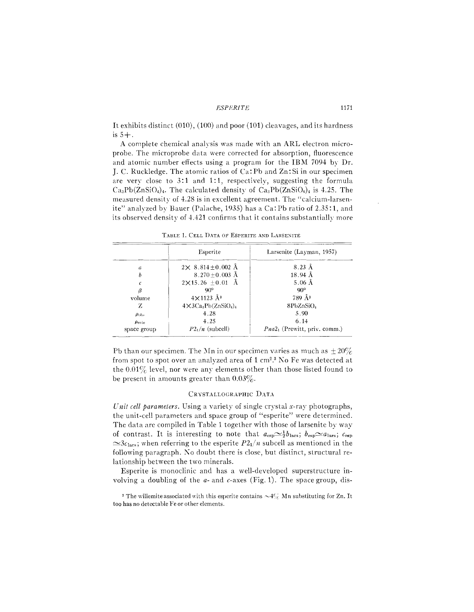It exhibits distinct  $(010)$ ,  $(100)$  and poor  $(101)$  cleavages, and its hardness is  $5+$ .

A complete chemical analysis was made with an ARL electron microprobe. The microprobe data were corrected for absorption, fluorescence and atomic number effects using a program for the IBM 7094 by Dr. I. C. Ruckledge. The atomic ratios of Ca: Pb and Zn: Si in our specimen are very close to 3:1 and 1:1, respectively, suggesting the formula  $Ca_3Pb(ZnSiO_4)_{4}$ . The calculated density of  $Ca_3Pb(ZnSiO_4)_{4}$  is 4.25. The measured density of 4.28 is in excellent agreement. The "calcium-larsenite" analyzed by Bauer (Palache, 1935) has a Ca: Pb ratio of 2.35:1, and its observed density of 4.421 confirms that it contains substantially more

|                   | Esperite                          | Larsenite (Layman, 1957)       |  |  |  |
|-------------------|-----------------------------------|--------------------------------|--|--|--|
| a                 | $2 \times 8.814 \pm 0.002$ Å      | $8.23 \text{ Å}$               |  |  |  |
| b                 | $8.270 + 0.003$ Å                 | $18.94\text{ Å}$               |  |  |  |
| c                 | $2 \times 15.26 \pm 0.01$ Å       | $5.06$ Å                       |  |  |  |
| β                 | $90^{\circ}$                      | $\omega_{o}$                   |  |  |  |
| volume            | $4\times 1123$ $\AA$ <sup>3</sup> | 789 Å <sup>3</sup>             |  |  |  |
| Z                 | $4\times3Ca_3Pb(ZnSiO_4)_4$       | 8PbZnSiO <sub>4</sub>          |  |  |  |
| $\rho_{\rm obs}$  | 4.28                              | 5.90                           |  |  |  |
| $\rho_{\rm calc}$ | 4.25                              | 6.14                           |  |  |  |
| space group       | $P2_1/n$ (subcell)                | $Pna21$ (Prewitt, priv. comm.) |  |  |  |

TABLE 1. CELL DATA OF ESPERITE AND LARSENITE

Pb than our specimen. The Mn in our specimen varies as much as  $\pm 20\%$ from spot to spot over an analyzed area of 1 cm<sup>2</sup>.<sup>3</sup> No Fe was detected at the  $0.01\%$  level, nor were any elements other than those listed found to be present in amounts greater than  $0.03\%$ .

### CRYSTALLOGRAPHIC DATA

Unit cell parameters. Using a variety of single crystal x-ray photographs, the unit-cell parameters and space group of "esperite" were determined. The data are compiled in Table 1 together with those of larsenite by way of contrast. It is interesting to note that  $a_{\rm esp} \simeq \frac{1}{2} b_{\rm lars}$ ;  $b_{\rm esp} \simeq a_{\rm lars}$ ;  $c_{\rm esp}$  $\approx$ 3 $c_{\text{lars}}$ ; when referring to the esperite  $P2_1/n$  subcell as mentioned in the following paragraph. No doubt there is close, but distinct, structural relationship between the two minerals.

Esperite is monoclinic and has a well-developed superstructure involving a doubling of the  $a$ - and  $c$ -axes (Fig. 1). The space group, dis-

<sup>&</sup>lt;sup>3</sup> The willemite associated with this esperite contains  $\sim 4\%$  Mn substituting for Zn. It too has no detectable Fe or other elements.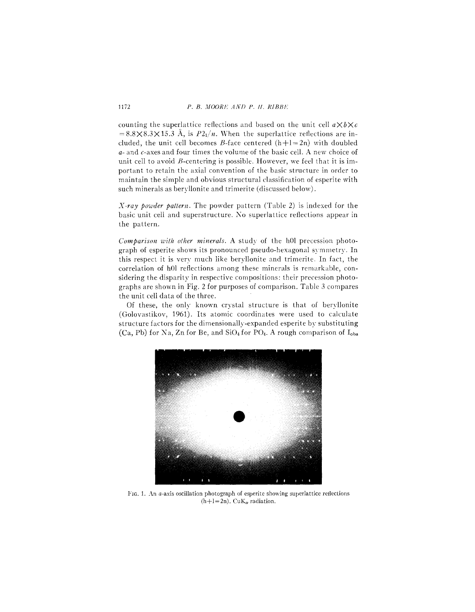counting the superlattice reflections and based on the unit cell  $a \times b \times c$  $= 8.8 \times 8.3 \times 15.3$  Å, is  $P2<sub>1</sub>/n$ . When the superlattice reflections are included, the unit cell becomes B-face centered  $(h+1=2n)$  with doubled *a-* and c-axes and four times the volume of the basic cel!. A new choice of unit cell to avoid  $B$ -centering is possible. However, we feel that it is important to retain the axial convention of the basic structure in order to maintain the simple and obvious structural classification of esperite with such minerals as beryllonite and trimerite (discussed below).

*X-ray powder pattern.* The powder pattern (Table 2) is indexed for the basic unit cell and superstructure. No superlattice reflections appear in the pattern.

*Comparison with other minerals.* A study of the h0l precession photograph of esperite shows its pronounced pseudo-hexagonal symmetry. In this respect it is very much like beryllonite and trimerite. In fact, the correlation of hOl reflections among these minerals is remarkable, considering the disparity in respective compositions: their precession photographs are shown in Fig. 2 for purposes of comparison. Table 3 compares the unit cell data of the three. .

Of these, the only known crystal structure is that of beryllonite (Golovastikov, 1961). Its atomic coordinates were used to calculate structure factors for the dimensionally-expanded esperite by substituting (Ca, Pb) for Na, Zn for Be, and  $SiO<sub>4</sub>$  for PO<sub>4</sub>. A rough comparison of  $I<sub>obs</sub>$ 



FIG. 1. An a-axis oscillation photograph of esperite showing superlattice reflections  $(h+l=2n)$ . CuK<sub> $\alpha$ </sub> radiation.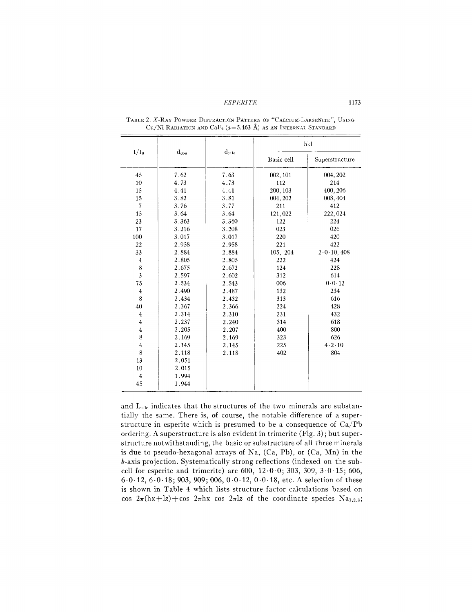| $I/I_0$                 | $d_{obs}$ |                   | hkl        |                            |  |  |
|-------------------------|-----------|-------------------|------------|----------------------------|--|--|
|                         |           | $_{\rm{dalea1c}}$ | Basic cell | Superstructure             |  |  |
| 45                      | 7.62      | 7.63              | 002, 101   | 004, 202                   |  |  |
| 10                      | 4.73      | 4.73              | 112        | 214                        |  |  |
| 15                      | 4.41      | 4.41              | 200, 103   | 400, 206                   |  |  |
| 15                      | 3.82      | 3.81              | 004, 202   | 008, 404                   |  |  |
| $\overline{7}$          | 3.76      | 3.77              | 211        | 412                        |  |  |
| 15                      | 3.64      | 3.64              | 121,022    | 222,024                    |  |  |
| 23                      | 3.363     | 3.360             | 122        | 224                        |  |  |
| 17                      | 3.216     | 3.208             | 023        | 026                        |  |  |
| 100                     | 3.017     | 3.017             | 220        | 420                        |  |  |
| 22                      | 2.958     | 2.958             | 221        | 422                        |  |  |
| 33                      | 2.884     | 2.884             | 105, 204   | $2 \cdot 0 \cdot 10$ , 408 |  |  |
| $\overline{4}$          | 2.805     | 2.805             | 222        | 424                        |  |  |
| $\bf 8$                 | 2.675     | 2.672             | 124        | 228                        |  |  |
| $\mathfrak{z}$          | 2.597     | 2.602             | 312        | 614                        |  |  |
| 75                      | 2.534     | 2.543             | 006        | 0.0.12                     |  |  |
| $\overline{4}$          | 2.490     | 2.487             | 132        | 234                        |  |  |
| 8                       | 2.434     | 2.432             | 313        | 616                        |  |  |
| 40                      | 2.367     | 2.366             | 224        | 428                        |  |  |
| $\overline{4}$          | 2.314     | 2.310             | 231        | 432                        |  |  |
| $\overline{\mathbf{4}}$ | 2.237     | 2.240             | 314        | 618                        |  |  |
| $\overline{4}$          | 2.205     | 2.207             | 400        | 800                        |  |  |
| 8                       | 2.169     | 2.169             | 323        | 626                        |  |  |
| $\overline{4}$          | 2.145     | 2.145             | 225        | 4.2.10                     |  |  |
| 8                       | 2.118     | 2.118             | 402        | 804                        |  |  |
| 13                      | 2.051     |                   |            |                            |  |  |
| 10                      | 2.015     |                   |            |                            |  |  |
| 4                       | 1.994     |                   |            |                            |  |  |
| 45                      | 1.944     |                   |            |                            |  |  |

TABLE 2. X-RAY POWDER DIFFRACTION PATTERN OF "CALCIUM-LARSENITE", USING Cu/Ni RADIATION AND Ca $F_2$  ( $a=5.463$  Å) as an Internal Standard

and I<sub>cale</sub> indicates that the structures of the two minerals are substantially the same. There is, of course, the notable difference of a superstructure in esperite which is presumed to be a consequence of Ca/Pb ordering. A superstructure is also evident in trimerite (Fig. 3); but superstructure notwithstanding, the basic or substructure of all three minerals is due to pseudo-hexagonal arrays of Na, (Ca, Pb), or (Ca, Mn) in the b-axis projection. Systematically strong reflections (indexed on the subcell for esperite and trimerite) are 600,  $12 \cdot 0 \cdot 0$ ;  $303$ ,  $309$ ,  $3 \cdot 0 \cdot 15$ ; 606,  $6.0.12, 6.0.18, 903, 909, 006, 0.0.12, 0.0.18$ , etc. A selection of these is shown in Table 4 which lists structure factor calculations based on cos  $2\pi$ (hx+lz)+cos  $2\pi$ hx cos  $2\pi$ lz of the coordinate species Na<sub>1,2,3</sub>;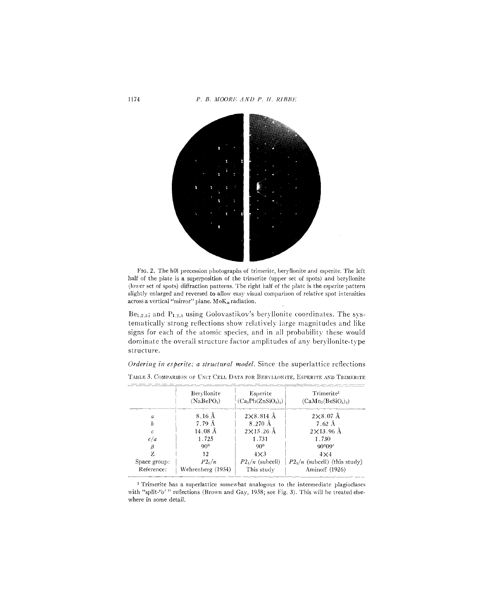

FIG. 2. The h0l precession photographs of trimerite, beryllonite and esperite. The left half of the plate is a superposition of the trimerite (upper set of spots) and beryllonite (lower set of spots) diffraction patterns. The right half of the plate is the esperite pattern slightly enlarged and reversed to allow easy visual comparison of relative spot intensities across a vertical "mirror" plane.  ${\rm MoK}_{\alpha}$  radiation.

 $Be<sub>1,2,3</sub>$ ; and  $P<sub>1,2,3</sub>$  using Golovastikov's beryllonite coordinates. The systematically strong reflections show relatively large magnitudes and like signs for each of the atomic species, and in all probability these would dominate the overall structure factor amplitudes of any beryllonite-type structure.

Ordering in esperite: a structural model. Since the superlattice reflections

|                  | Beryllonite<br>(NaBePO <sub>4</sub> ) | Esperite<br>$(Ca_3Pb(ZnSiO_4)_4)$ | Trimerite <sup>1</sup><br>$(CaMn_2(BesiO_4)_3)$ |  |  |
|------------------|---------------------------------------|-----------------------------------|-------------------------------------------------|--|--|
| $\boldsymbol{a}$ | $8.16 \text{ Å}$                      | $2\times8.814$ Å                  | $2\times8.07$ Å                                 |  |  |
| h                | 7.79 Å                                | 8.270 Å                           | $7.62 \text{ Å}$                                |  |  |
| $\epsilon$       | $14.08 \text{ Å}$                     | $2\times15.26$ Å                  | $2\times13.96$ Å                                |  |  |
| c/a              | 1.725                                 | 1.731                             | 1.730                                           |  |  |
| β                | $90^{\circ}$                          | $90^{\circ}$                      | $90^{\circ}09'$                                 |  |  |
| Z                | 12                                    | $4\times3$                        | $4\times4$                                      |  |  |
| Space group:     | P2/ n                                 | $P2_1/n$ (subcell)                | $P2_1/n$ (subcell) (this study)                 |  |  |
| Reference:       | Wehrenberg (1954)                     | This study                        | Aminoff (1926)                                  |  |  |

TABLE 3. COMPARISON OF UNIT CELL DATA FOR BERYLLONITE, ESPERITE AND TRIMERITE

<sup>1</sup> Trimerite has a superlattice somewhat analogous to the intermediate plagioclases with "split-'b'" reflections (Brown and Gay, 1958; see Fig. 3). This will be treated elsewhere in some detail.

1174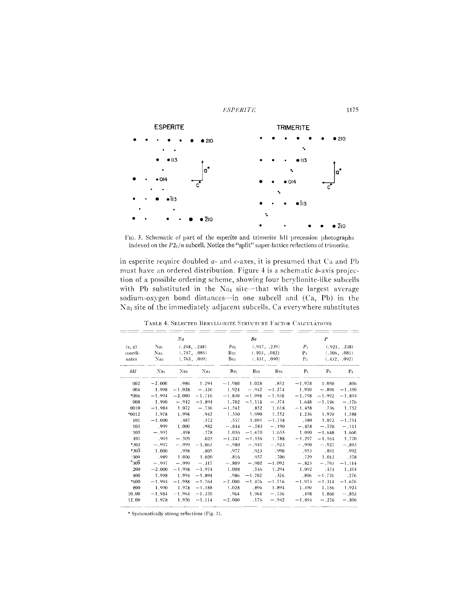

FIG. 3. Schematic of part of the esperite and trimerite h1l precession photographs indexed on the  $P2_1/n$  subcell. Notice the "split" super-lattice reflections of trimerite.

in esperite require doubled  $a$ - and  $c$ -axes, it is presumed that Ca and Pb must have an ordered distribution. Figure 4 is a schematic b-axis projection of a possible ordering scheme, showing four beryllonite-like subcells with Pb substituted in the Na<sub>1</sub> site-that with the largest average sodium-oxygen bond distances-in one subcell and (Ca, Pb) in the Na<sub>1</sub> site of the immediately adjacent subcells. Ca everywhere substitutes

| Na                   |                 |                              | Be              |                                                                    |                 | $\boldsymbol{P}$               |                |                              |                |
|----------------------|-----------------|------------------------------|-----------------|--------------------------------------------------------------------|-----------------|--------------------------------|----------------|------------------------------|----------------|
| (x, z)               | Na <sub>1</sub> | (.248, .248)<br>(.747, .084) |                 | Be <sub>1</sub><br>(.917, .239)<br>Be <sub>2</sub><br>(.103, .082) |                 |                                | $P_1$          |                              | (.921, .238)   |
| coordi-              | Na <sub>2</sub> |                              |                 |                                                                    |                 |                                | P <sub>2</sub> | (.106, .081)<br>(.432, .092) |                |
| nates                | Na <sub>3</sub> |                              | (.763, .069)    | Be <sub>3</sub>                                                    |                 | (.431, .090)<br>P <sub>3</sub> |                |                              |                |
| hkl                  | Na <sub>1</sub> | Na <sub>2</sub>              | Na <sub>3</sub> | Be <sub>1</sub>                                                    | Be <sub>2</sub> | Be <sub>3</sub>                | $P_1$          | P <sub>2</sub>               | P <sub>3</sub> |
| 002                  | $-2,000$        | .986                         | 1.294           | $-1.980$                                                           | 1.028           | .852                           | $-1.978$       | 1.050                        | .806           |
| 004                  | 1.998           | $-1.028$                     | $-.326$         | 1.924                                                              | $-.942$         | $-1.274$                       | 1.910          | $-.896$                      | $-1.350$       |
| *006                 | $-1,994$        | $-2.000$                     | $-1.716$        | $-1.830$                                                           | $-1.998$        | $-1.938$                       | $-1.798$       | $-1.992$                     | $-1.894$       |
| 008                  | 1.990           | $-.942$                      | $-1.894$        | 1.702                                                              | $-1,114$        | $-.374$                        | 1.648          | $-1.196$                     | $-.176$        |
| 0010                 | $-1.984$        | 1.072                        | $-.736$         | $-1.542$                                                           | .852            | 1.618                          | $-1.458$       | .736                         | 1.752          |
| $*0012$              | 1.978           | 1.998                        | .942            | 1.350                                                              | 1.990           | 1.752                          | 1.236          | 1.970                        | 1.588          |
| 101                  | $-1.000$        | .487                         | .572            | .557                                                               | 1.091           | $-1.758$                       | .580           | 1.072                        | $-1,751$       |
| 103                  | .999            | 1.000                        | .982            | $-.844$                                                            | $-.583$         | $-.190$                        | $-.858$        | $-.570$                      | $-.111$        |
| 105                  | $-.997$         | .498                         | .778            | 1.056                                                              | $-1.670$        | 1.655                          | 1.090          | $-1.648$                     | 1.660          |
| 107                  | -995            | $-.509$                      | .025            | $-1.247$                                                           | $-1.156$        | 1.788                          | $-1,297$       | $-1.164$                     | 1.770          |
| *303                 | $-.997$         | $-.999$                      | $-1.065$        | $-.980$                                                            | $-.941$         | $-.923$                        | $-.990$        | $-.927$                      | $-.893$        |
| $*30\overline{3}$    | 1.000           | .998                         | .805            | .977                                                               | .923            | .990                           | .953           | .891                         | .992           |
| 309                  | .989            | 1.000                        | 1.020           | .816                                                               | .957            | .700                           | .729           | 1,012                        | .578           |
| $*_{30\overline{9}}$ | $-.997$         | $-.999$                      | $-.317$         | $-.809$                                                            | $-.902$         | $-1.092$                       | $-.823$        | $-.793$                      | $-1,114$       |
| 200                  | $-2.000$        | $-1.998$                     | $-1.974$        | 1.008                                                              | .546            | 1.294                          | 1,092          | .474                         | 1.314          |
| 400                  | 1,998           | 1.994                        | $-1.894$        | -986                                                               | $-1.702$        | .326                           | .806           | $-1.776$                     | .276           |
| *600                 | $-1.994$        | $-1.988$                     | $-1.764$        | $-2.000$                                                           | $-1.476$        | $-1.716$                       | $-1.974$       | $-1.314$                     | $-1,676$       |
| 800                  | 1.990           | 1.978                        | $-1.588$        | 1.028                                                              | .896            | 1.894                          | 1.350          | 1.156                        | 1.924          |
| 10.00                | $-1.984$        | $-1.964$                     | $-1.370$        | .964                                                               | 1.964           | $-.736$                        | .498           | 1.860                        | $-.852$        |
| 12.00                | 1.978           | 1.950                        | $-1.114$        | $-2.000$                                                           | .176            | $-.942$                        | $-1.894$       | $-.276$                      | $-.806$        |

TABLE 4. SELECTED BERYLLONITE STRUCTURE FACTOR CALCULATIONS

\* Systematically strong reflections (Fig. 2).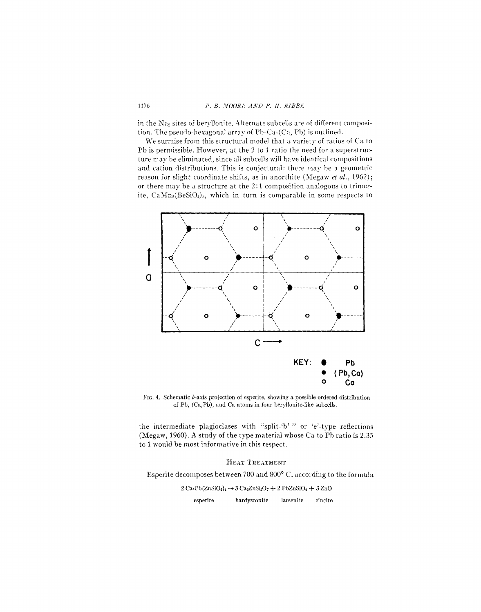### P. B. MOORE AND P. II. RIBBE

in the Na<sub>2</sub> sites of beryllonite. Alternate subcells are of different composition. The pseudo-hexagonal array of Pb-Ca-(Ca, Pb) is outlined.

We surmise from this structural model that a variety of ratios of Ca to Pb is permissible. However, at the 2 to 1 ratio the need for a superstructure may be eliminated, since all subcells will have identical compositions and cation distributions. This is conjectural: there may be a geometric reason for slight coordinate shifts, as in anorthite (Megaw et al., 1962); or there may be a structure at the 2:1 composition analogous to trimerite, CaMn<sub>2</sub>(BeSiO<sub>4</sub>)<sub>3</sub>, which in turn is comparable in some respects to



FIG. 4. Schematic b-axis projection of esperite, showing a possible ordered distribution of Pb, (Ca,Pb), and Ca atoms in four beryllonite-like subcells.

the intermediate plagioclases with "split-'b' " or 'e'-type reflections (Megaw, 1960). A study of the type material whose Ca to Pb ratio is 2.35 to 1 would be most informative in this respect.

## HEAT TREATMENT

Esperite decomposes between 700 and 800° C. according to the formula

 $2 Ca_3Pb(ZnSiO_4)$ <sub>4</sub>  $\rightarrow$   $3 Ca_2ZnSi_2O_7 + 2 PbZnSiO_4 + 3 ZnO$ hardystonite esperite larsenite zincite

1176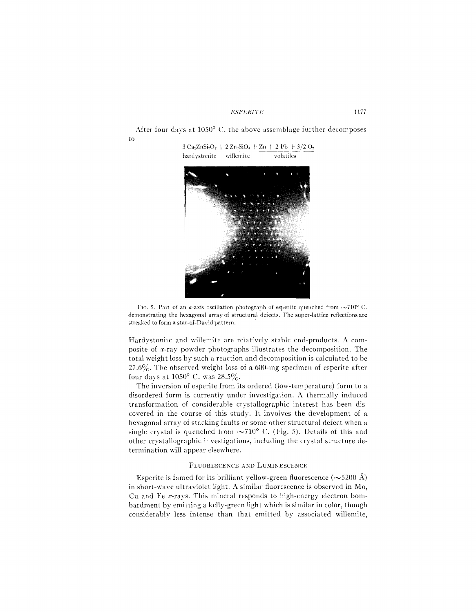After four days at 1050° C. the above assemblage further decomposes to  $3 Ca<sub>2</sub>ZnSi<sub>2</sub>O<sub>7</sub> + 2 Zn<sub>2</sub>SiO<sub>4</sub> + Zn + 2 Pb + 3/2 O<sub>2</sub>$ 





Hardystonite and willemite are relatively stable end-products. A composite of x-ray powder photographs illustrates the decomposition. The total weight loss by such a reaction and decomposition is calculated to be 27.6%. The observed weight loss of a 600-mg specimen of esperite after four days at  $1050^{\circ}$  C. was  $28.5\%$ .

The inversion of esperite from its ordered (low-temperature) form to a disordered form is currently under investigation. A thermally induced transformation of considerable crystallographic interest has been discovered in the course of this study. It involves the development of a hexagonal array of stacking faults or some other structural defect when a single crystal is quenched from  $\sim710^{\circ}$  C. (Fig. 5). Details of this and other crystallographic investigations, including the crystal structure determination will appear elsewhere.

### FLUORESCENCE AND LUMINESCENCE

Esperite is famed for its brilliant yellow-green fluorescence  $(\sim 5200 \text{ Å})$ in short-wave ultraviolet light. A similar fluorescence is observed in Mo, Cu and Fe  $x$ -rays. This mineral responds to high-energy electron bombardment by emitting a kelly-green light which is similar in color, though considerably less in tense than that emitted by associated willemite,